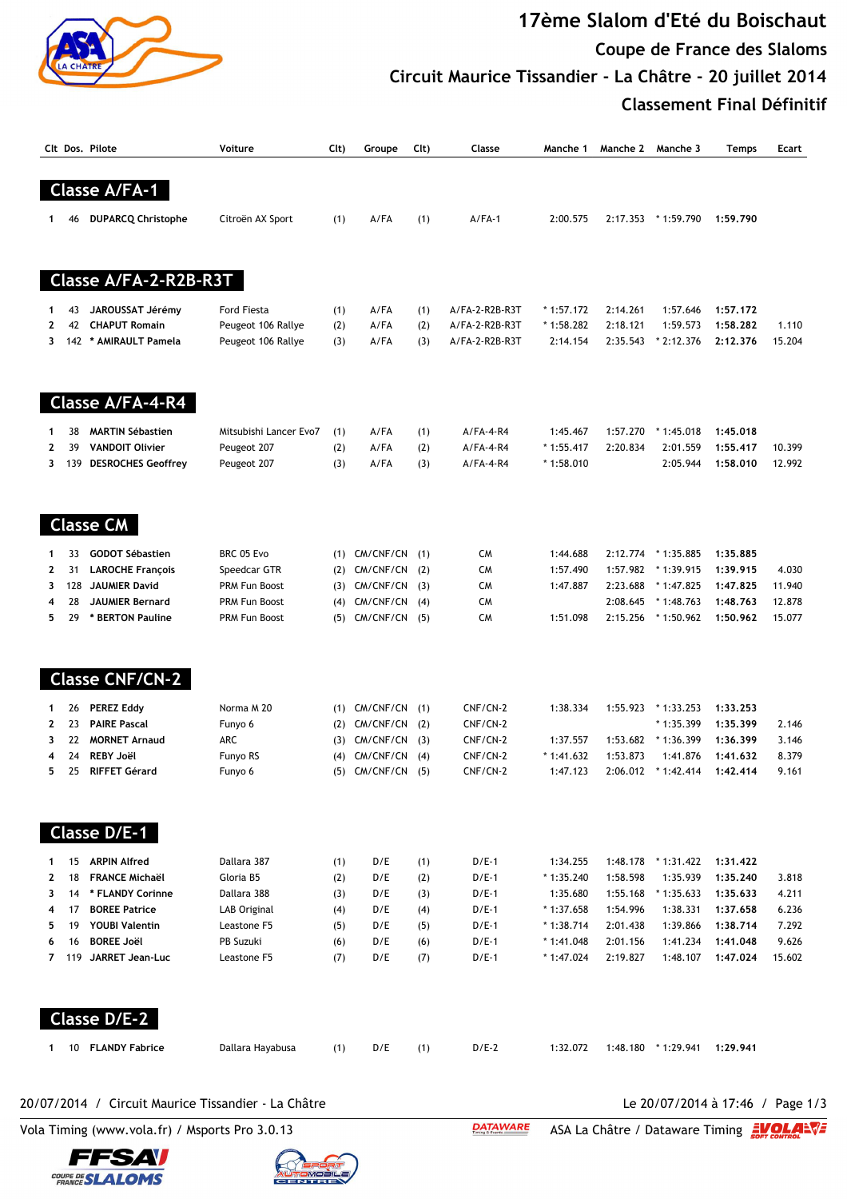

# **17ème Slalom d'Eté du Boischaut Coupe de France des Slaloms Circuit Maurice Tissandier - La Châtre - 20 juillet 2014 Classement Final Définitif**

|        |          | Clt Dos. Pilote                                   | Voiture                                  | Clt)       | Groupe                 | Clt)       | Classe                           | Manche 1                | Manche 2 Manche 3    |                           | <b>Temps</b>         | Ecart           |
|--------|----------|---------------------------------------------------|------------------------------------------|------------|------------------------|------------|----------------------------------|-------------------------|----------------------|---------------------------|----------------------|-----------------|
|        |          | <b>Classe A/FA-1</b>                              |                                          |            |                        |            |                                  |                         |                      |                           |                      |                 |
|        |          |                                                   |                                          |            |                        |            |                                  |                         |                      |                           |                      |                 |
| 1      | 46       | <b>DUPARCQ Christophe</b>                         | Citroën AX Sport                         | (1)        | A/FA                   | (1)        | $A/FA-1$                         | 2:00.575                |                      | 2:17.353 * 1:59.790       | 1:59.790             |                 |
|        |          |                                                   |                                          |            |                        |            |                                  |                         |                      |                           |                      |                 |
|        |          | Classe A/FA-2-R2B-R3T                             |                                          |            |                        |            |                                  |                         |                      |                           |                      |                 |
| 1      | 43       | JAROUSSAT Jérémy                                  | Ford Fiesta                              | (1)        | A/FA                   | (1)        | A/FA-2-R2B-R3T                   | $*1:57.172$             | 2:14.261             | 1:57.646                  | 1:57.172             |                 |
| 2<br>3 | 42       | <b>CHAPUT Romain</b><br>142 * AMIRAULT Pamela     | Peugeot 106 Rallye<br>Peugeot 106 Rallye | (2)<br>(3) | A/FA<br>A/FA           | (2)<br>(3) | A/FA-2-R2B-R3T<br>A/FA-2-R2B-R3T | * 1:58.282<br>2:14.154  | 2:18.121<br>2:35.543 | 1:59.573<br>$*2:12.376$   | 1:58.282<br>2:12.376 | 1.110<br>15.204 |
|        |          |                                                   |                                          |            |                        |            |                                  |                         |                      |                           |                      |                 |
|        |          | <b>Classe A/FA-4-R4</b>                           |                                          |            |                        |            |                                  |                         |                      |                           |                      |                 |
| 1      | 38       | <b>MARTIN Sébastien</b>                           | Mitsubishi Lancer Evo7                   | (1)        | A/FA                   | (1)        | A/FA-4-R4                        | 1:45.467                | 1:57.270             | $*1:45.018$               | 1:45.018             |                 |
| 2      | 39       | <b>VANDOIT Olivier</b>                            | Peugeot 207                              | (2)        | A/FA                   | (2)        | A/FA-4-R4                        | $*1:55.417$             | 2:20.834             | 2:01.559                  | 1:55.417             | 10.399          |
| 3      | 139      | <b>DESROCHES Geoffrey</b>                         | Peugeot 207                              | (3)        | A/FA                   | (3)        | A/FA-4-R4                        | $*1:58.010$             |                      | 2:05.944                  | 1:58.010             | 12.992          |
|        |          | <b>Classe CM</b>                                  |                                          |            |                        |            |                                  |                         |                      |                           |                      |                 |
|        |          |                                                   |                                          |            |                        |            |                                  |                         |                      |                           |                      |                 |
| 1<br>2 | 33<br>31 | <b>GODOT Sébastien</b><br><b>LAROCHE François</b> | BRC 05 Evo<br>Speedcar GTR               | (1)<br>(2) | CM/CNF/CN<br>CM/CNF/CN | (1)<br>(2) | CM<br>CM                         | 1:44.688<br>1:57.490    | 2:12.774<br>1:57.982 | * 1:35.885<br>$*1:39.915$ | 1:35.885<br>1:39.915 | 4.030           |
| 3      | 128      | <b>JAUMIER David</b>                              | <b>PRM Fun Boost</b>                     | (3)        | CM/CNF/CN              | (3)        | CM                               | 1:47.887                | 2:23.688             | * 1:47.825                | 1:47.825             | 11.940          |
| 4      | 28       | <b>JAUMIER Bernard</b>                            | <b>PRM Fun Boost</b>                     | (4)        | CM/CNF/CN              | (4)        | CM                               |                         | 2:08.645             | $*1:48.763$               | 1:48.763             | 12.878          |
| 5      | 29       | * BERTON Pauline                                  | <b>PRM Fun Boost</b>                     | (5)        | CM/CNF/CN              | (5)        | CM                               | 1:51.098                | 2:15.256             | $*1:50.962$               | 1:50.962             | 15.077          |
|        |          | <b>Classe CNF/CN-2</b>                            |                                          |            |                        |            |                                  |                         |                      |                           |                      |                 |
|        |          |                                                   |                                          |            |                        |            |                                  |                         |                      |                           |                      |                 |
| 1<br>2 | 26<br>23 | <b>PEREZ Eddy</b><br><b>PAIRE Pascal</b>          | Norma M 20<br>Funyo 6                    | (1)<br>(2) | CM/CNF/CN<br>CM/CNF/CN | (1)<br>(2) | CNF/CN-2<br>CNF/CN-2             | 1:38.334                | 1:55.923             | $*1:33.253$<br>* 1:35.399 | 1:33.253<br>1:35.399 | 2.146           |
| 3      | 22       | <b>MORNET Arnaud</b>                              | ARC                                      | (3)        | CM/CNF/CN              | (3)        | CNF/CN-2                         | 1:37.557                | 1:53.682             | $*1:36.399$               | 1:36.399             | 3.146           |
| 4      | 24       | <b>REBY Joël</b>                                  | Funyo RS                                 | (4)        | CM/CNF/CN              | (4)        | CNF/CN-2                         | $*1:41.632$             | 1:53.873             | 1:41.876                  | 1:41.632             | 8.379           |
| 5      | 25       | <b>RIFFET Gérard</b>                              | Funyo 6                                  |            | (5) CM/CNF/CN (5)      |            | CNF/CN-2                         | 1:47.123                | 2:06.012             | $*1:42.414$               | 1:42.414             | 9.161           |
|        |          | <b>Classe D/E-1</b>                               |                                          |            |                        |            |                                  |                         |                      |                           |                      |                 |
|        |          |                                                   |                                          |            |                        |            |                                  |                         |                      |                           |                      |                 |
| 1<br>2 | 15<br>18 | <b>ARPIN Alfred</b><br><b>FRANCE Michaël</b>      | Dallara 387<br>Gloria B5                 | (1)<br>(2) | D/E<br>D/E             | (1)<br>(2) | $D/E-1$<br>$D/E-1$               | 1:34.255<br>$*1:35.240$ | 1:48.178<br>1:58.598 | $*1:31.422$<br>1:35.939   | 1:31.422<br>1:35.240 | 3.818           |
| 3      | 14       | * FLANDY Corinne                                  | Dallara 388                              | (3)        | D/E                    | (3)        | $D/E-1$                          | 1:35.680                | 1:55.168             | $*1:35.633$               | 1:35.633             | 4.211           |
| 4      | 17       | <b>BOREE Patrice</b>                              | LAB Original                             | (4)        | D/E                    | (4)        | $D/E-1$                          | $*1:37.658$             | 1:54.996             | 1:38.331                  | 1:37.658             | 6.236           |
| 5      | 19       | <b>YOUBI Valentin</b>                             | Leastone F5                              | (5)        | D/E                    | (5)        | $D/E-1$                          | $*1:38.714$             | 2:01.438             | 1:39.866                  | 1:38.714             | 7.292           |
| 6      | 16       | <b>BOREE Joël</b>                                 | PB Suzuki                                | (6)        | D/E                    | (6)        | $D/E-1$                          | $*1:41.048$             | 2:01.156             | 1:41.234                  | 1:41.048             | 9.626           |
| 7      |          | 119 JARRET Jean-Luc                               | Leastone F5                              | (7)        | D/E                    | (7)        | $D/E-1$                          | * 1:47.024              | 2:19.827             | 1:48.107                  | 1:47.024             | 15.602          |
|        |          | Classe D/E-2                                      |                                          |            |                        |            |                                  |                         |                      |                           |                      |                 |
| 1.     |          | 10 FLANDY Fabrice                                 | Dallara Hayabusa                         | (1)        | D/E                    | (1)        | $D/E-2$                          | 1:32.072                |                      | 1:48.180 * 1:29.941       | 1:29.941             |                 |

#### 20/07/2014 / Circuit Maurice Tissandier - La Châtre Le 2007/2014 à 17:46 / Page 1/3



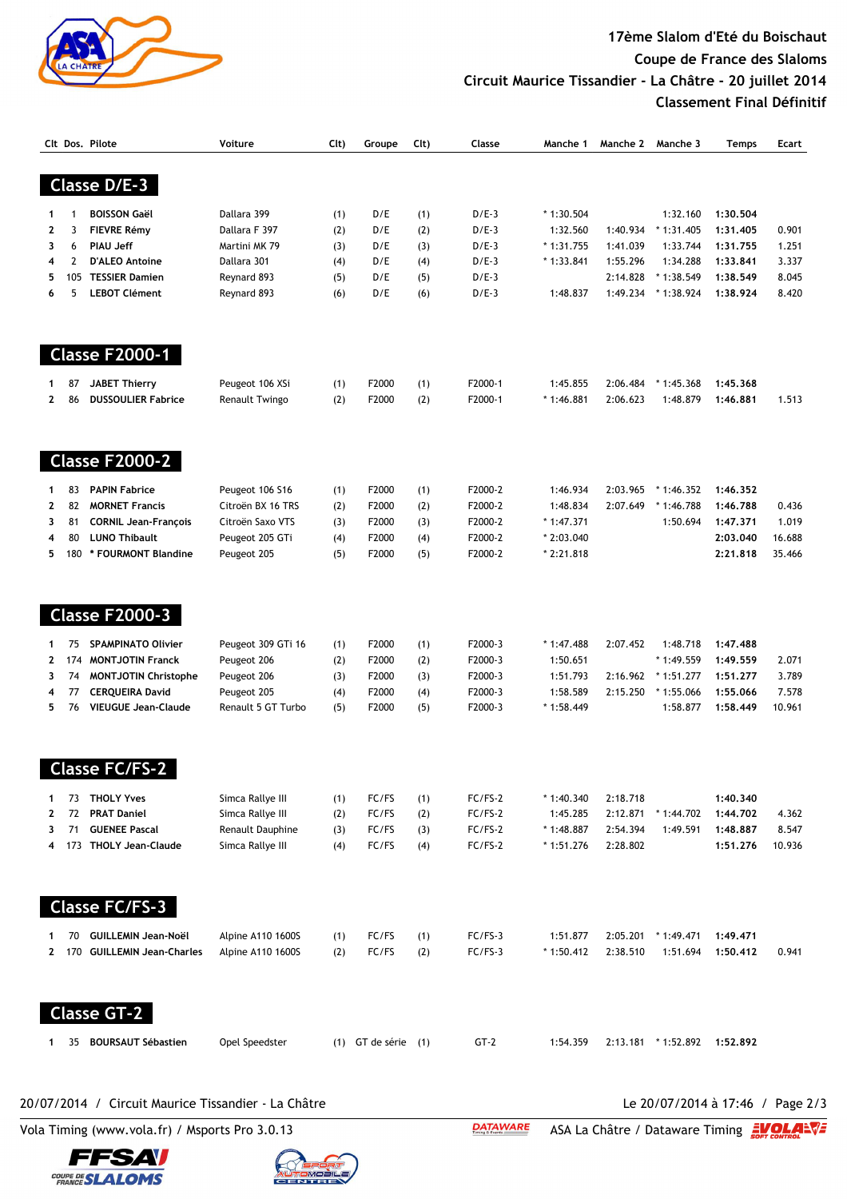

### **17ème Slalom d'Eté du Boischaut Coupe de France des Slaloms Circuit Maurice Tissandier - La Châtre - 20 juillet 2014 Classement Final Définitif**

|                   |          | Clt Dos. Pilote                                      | Voiture                               | Cl <sub>t</sub> | Groupe                  | Cl <sub>t</sub> | Classe             | Manche 1                | Manche 2             | Manche 3                | Temps                | Ecart          |
|-------------------|----------|------------------------------------------------------|---------------------------------------|-----------------|-------------------------|-----------------|--------------------|-------------------------|----------------------|-------------------------|----------------------|----------------|
|                   |          | Classe D/E-3                                         |                                       |                 |                         |                 |                    |                         |                      |                         |                      |                |
|                   |          |                                                      |                                       |                 |                         |                 |                    |                         |                      |                         |                      |                |
| 1                 | 1        | <b>BOISSON Gaël</b>                                  | Dallara 399                           | (1)             | D/E                     | (1)             | $D/E-3$            | * 1:30.504              |                      | 1:32.160                | 1:30.504             |                |
| 2                 | 3        | <b>FIEVRE Rémy</b>                                   | Dallara F 397                         | (2)             | D/E                     | (2)             | $D/E-3$            | 1:32.560                | 1:40.934             | * 1:31.405              | 1:31.405             | 0.901          |
| 3                 | 6        | <b>PIAU Jeff</b>                                     | Martini MK 79                         | (3)             | D/E                     | (3)             | $D/E-3$            | $*1:31.755$             | 1:41.039             | 1:33.744                | 1:31.755             | 1.251          |
| 4                 | 2        | <b>D'ALEO Antoine</b>                                | Dallara 301                           | (4)             | D/E                     | (4)             | $D/E-3$            | $*1:33.841$             | 1:55.296             | 1:34.288                | 1:33.841             | 3.337          |
| 5                 | 105      | <b>TESSIER Damien</b>                                | Reynard 893                           | (5)             | D/E                     | (5)             | $D/E-3$            |                         | 2:14.828             | * 1:38.549              | 1:38.549             | 8.045          |
| 6                 | 5        | <b>LEBOT Clément</b>                                 | Reynard 893                           | (6)             | D/E                     | (6)             | $D/E-3$            | 1:48.837                | 1:49.234             | * 1:38.924              | 1:38.924             | 8.420          |
|                   |          | <b>Classe F2000-1</b>                                |                                       |                 |                         |                 |                    |                         |                      |                         |                      |                |
|                   |          |                                                      |                                       |                 | F2000                   |                 | F2000-1            |                         |                      |                         | 1:45.368             |                |
| 1<br>$\mathbf{2}$ | 87<br>86 | <b>JABET Thierry</b><br><b>DUSSOULIER Fabrice</b>    | Peugeot 106 XSi<br>Renault Twingo     | (1)<br>(2)      | F2000                   | (1)<br>(2)      | F2000-1            | 1:45.855<br>* 1:46.881  | 2:06.484<br>2:06.623 | $*1:45.368$<br>1:48.879 | 1:46.881             | 1.513          |
|                   |          |                                                      |                                       |                 |                         |                 |                    |                         |                      |                         |                      |                |
|                   |          | <b>Classe F2000-2</b>                                |                                       |                 |                         |                 |                    |                         |                      |                         |                      |                |
|                   |          |                                                      |                                       |                 |                         |                 |                    |                         |                      |                         |                      |                |
| 1                 | 83       | <b>PAPIN Fabrice</b>                                 | Peugeot 106 S16                       | (1)             | F2000                   | (1)             | F2000-2            | 1:46.934                | 2:03.965             | $*1:46.352$             | 1:46.352             |                |
| $\mathbf{2}$<br>3 | 82<br>81 | <b>MORNET Francis</b><br><b>CORNIL Jean-François</b> | Citroën BX 16 TRS<br>Citroën Saxo VTS | (2)<br>(3)      | F2000<br>F2000          | (2)<br>(3)      | F2000-2<br>F2000-2 | 1:48.834<br>$*1:47.371$ | 2:07.649             | * 1:46.788<br>1:50.694  | 1:46.788<br>1:47.371 | 0.436<br>1.019 |
| 4                 | 80       | <b>LUNO Thibault</b>                                 | Peugeot 205 GTi                       | (4)             | F2000                   | (4)             | F2000-2            | * 2:03.040              |                      |                         | 2:03.040             | 16.688         |
| 5                 | 180      | * FOURMONT Blandine                                  | Peugeot 205                           | (5)             | F2000                   | (5)             | F2000-2            | * 2:21.818              |                      |                         | 2:21.818             | 35.466         |
|                   |          |                                                      |                                       |                 |                         |                 |                    |                         |                      |                         |                      |                |
|                   |          | <b>Classe F2000-3</b>                                |                                       |                 |                         |                 |                    |                         |                      |                         |                      |                |
| 1                 | 75       | <b>SPAMPINATO Olivier</b>                            | Peugeot 309 GTi 16                    | (1)             | F2000                   | (1)             | F2000-3            | $*1:47.488$             | 2:07.452             | 1:48.718                | 1:47.488             |                |
| 2                 | 174      | <b>MONTJOTIN Franck</b>                              | Peugeot 206                           | (2)             | F2000                   | (2)             | F2000-3            | 1:50.651                |                      | $*1:49.559$             | 1:49.559             | 2.071          |
| 3                 | 74       | <b>MONTJOTIN Christophe</b>                          | Peugeot 206                           | (3)             | F2000                   | (3)             | F2000-3            | 1:51.793                | 2:16.962             | $*1:51.277$             | 1:51.277             | 3.789          |
| 4                 | 77       | <b>CERQUEIRA David</b>                               | Peugeot 205                           | (4)             | F2000                   | (4)             | F2000-3            | 1:58.589                | 2:15.250             | $*1:55.066$             | 1:55.066             | 7.578          |
| 5                 | 76       | <b>VIEUGUE Jean-Claude</b>                           | Renault 5 GT Turbo                    | (5)             | F2000                   | (5)             | F2000-3            | * 1:58.449              |                      | 1:58.877                | 1:58.449             | 10.961         |
|                   |          |                                                      |                                       |                 |                         |                 |                    |                         |                      |                         |                      |                |
|                   |          | <b>Classe FC/FS-2</b>                                |                                       |                 |                         |                 |                    |                         |                      |                         |                      |                |
| 1                 | 73       | <b>THOLY Yves</b>                                    | Simca Rallye III                      | (1)             | FC/FS                   | (1)             | FC/FS-2            | * 1:40.340              | 2:18.718             |                         | 1:40.340             |                |
| 2                 | 72       | <b>PRAT Daniel</b>                                   | Simca Rallye III                      | (2)             | FC/FS                   | (2)             | FC/FS-2            | 1:45.285                | 2:12.871             | * 1:44.702              | 1:44.702             | 4.362          |
| 3                 | 71       | <b>GUENEE Pascal</b>                                 | Renault Dauphine                      | (3)             | FC/FS                   | (3)             | FC/FS-2            | * 1:48.887              | 2:54.394             | 1:49.591                | 1:48.887             | 8.547          |
| 4                 | 173      | <b>THOLY Jean-Claude</b>                             | Simca Rallye III                      | (4)             | FC/FS                   | (4)             | $FC/FS-2$          | $*1:51.276$             | 2:28.802             |                         | 1:51.276             | 10.936         |
|                   |          | <b>Classe FC/FS-3</b>                                |                                       |                 |                         |                 |                    |                         |                      |                         |                      |                |
|                   |          |                                                      |                                       |                 |                         |                 |                    |                         |                      |                         |                      |                |
| 1                 | 70       | <b>GUILLEMIN Jean-Noël</b>                           | <b>Alpine A110 1600S</b>              | (1)             | FC/FS                   | (1)             | $FC/FS-3$          | 1:51.877                | 2:05.201             | * 1:49.471              | 1:49.471             |                |
| 2                 | 170      | <b>GUILLEMIN Jean-Charles</b>                        | Alpine A110 1600S                     | (2)             | FC/FS                   | (2)             | $FC/FS-3$          | $*1:50.412$             | 2:38.510             | 1:51.694                | 1:50.412             | 0.941          |
|                   |          | <b>Classe GT-2</b>                                   |                                       |                 |                         |                 |                    |                         |                      |                         |                      |                |
|                   |          |                                                      |                                       |                 |                         |                 |                    |                         |                      |                         |                      |                |
| 1.                | 35       | <b>BOURSAUT Sébastien</b>                            | Opel Speedster                        |                 | $(1)$ GT de série $(1)$ |                 | $GT-2$             | 1:54.359                |                      | 2:13.181 * 1:52.892     | 1:52.892             |                |

## 20/07/2014 / Circuit Maurice Tissandier - La Châtre Le 20/07/2014 à 17:46 / Page 2/3